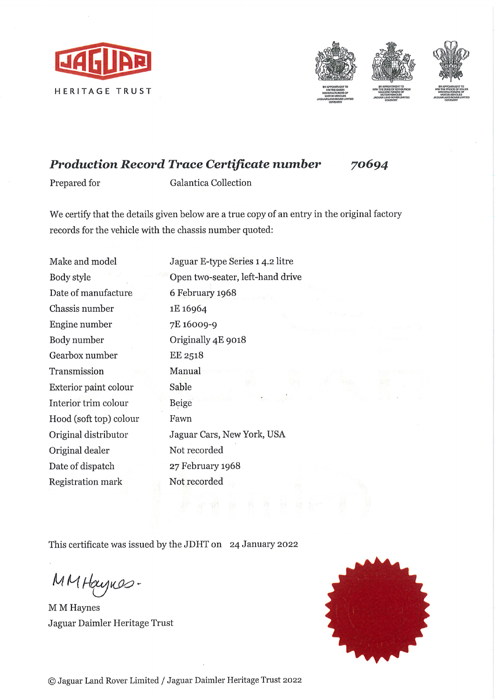



70694

## Production Record Trace Certificate number

Prepared for Galantica Collection

We certify that the details given below are a true copy of an entry in the original factory records for the vehicle with the chassis number quoted:

| Make and model         | Jaguar E-type Series 1 4.2 litre |
|------------------------|----------------------------------|
| Body style             | Open two-seater, left-hand drive |
| Date of manufacture    | 6 February 1968                  |
| Chassis number         | 1E 16964                         |
| Engine number          | 7E 16009-9                       |
| Body number            | Originally 4E 9018               |
| Gearbox number         | EE 2518                          |
| Transmission           | Manual                           |
| Exterior paint colour  | Sable                            |
| Interior trim colour   | Beige                            |
| Hood (soft top) colour | Fawn                             |
| Original distributor   | Jaguar Cars, New York, USA       |
| Original dealer        | Not recorded                     |
| Date of dispatch       | 27 February 1968                 |
| Registration mark      | Not recorded                     |

This certificate was issued by the JDHT on 24 January 2022

MM Haynes-

M M Haynes Jaguar Daimler Héritage Trust